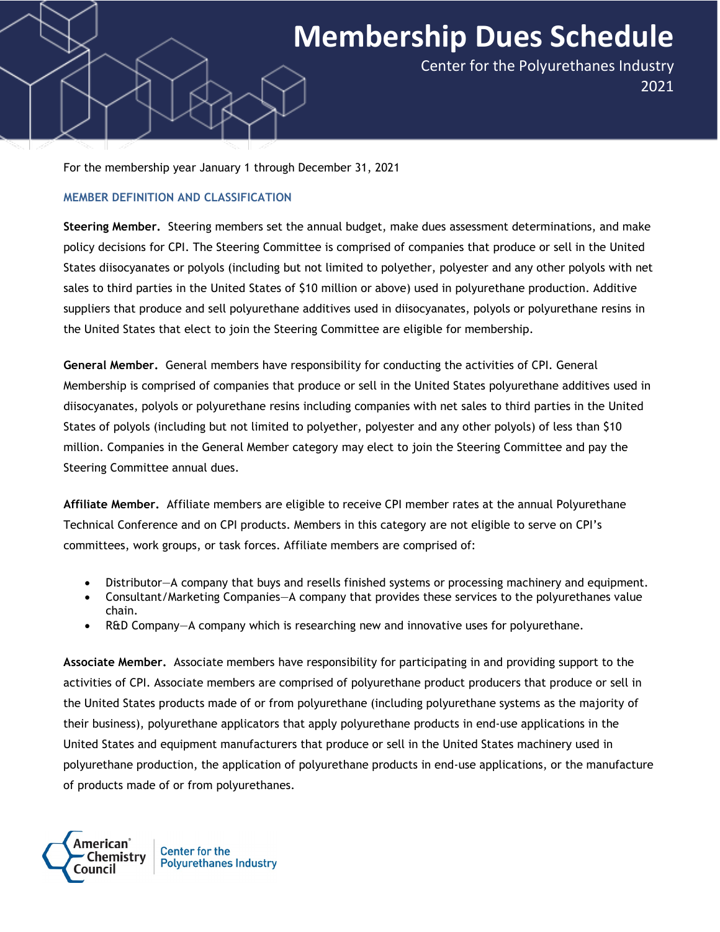## **Membership Dues Schedule**

Center for the Polyurethanes Industry 2021

For the membership year January 1 through December 31, 2021

## **MEMBER DEFINITION AND CLASSIFICATION**

**Steering Member.** Steering members set the annual budget, make dues assessment determinations, and make policy decisions for CPI. The Steering Committee is comprised of companies that produce or sell in the United States diisocyanates or polyols (including but not limited to polyether, polyester and any other polyols with net sales to third parties in the United States of \$10 million or above) used in polyurethane production. Additive suppliers that produce and sell polyurethane additives used in diisocyanates, polyols or polyurethane resins in the United States that elect to join the Steering Committee are eligible for membership.

**General Member.** General members have responsibility for conducting the activities of CPI. General Membership is comprised of companies that produce or sell in the United States polyurethane additives used in diisocyanates, polyols or polyurethane resins including companies with net sales to third parties in the United States of polyols (including but not limited to polyether, polyester and any other polyols) of less than \$10 million. Companies in the General Member category may elect to join the Steering Committee and pay the Steering Committee annual dues.

**Affiliate Member.** Affiliate members are eligible to receive CPI member rates at the annual Polyurethane Technical Conference and on CPI products. Members in this category are not eligible to serve on CPI's committees, work groups, or task forces. Affiliate members are comprised of:

- Distributor—A company that buys and resells finished systems or processing machinery and equipment.
- Consultant/Marketing Companies—A company that provides these services to the polyurethanes value chain.
- R&D Company—A company which is researching new and innovative uses for polyurethane.

**Associate Member.** Associate members have responsibility for participating in and providing support to the activities of CPI. Associate members are comprised of polyurethane product producers that produce or sell in the United States products made of or from polyurethane (including polyurethane systems as the majority of their business), polyurethane applicators that apply polyurethane products in end-use applications in the United States and equipment manufacturers that produce or sell in the United States machinery used in polyurethane production, the application of polyurethane products in end-use applications, or the manufacture of products made of or from polyurethanes.



**Center for the Polyurethanes Industry**